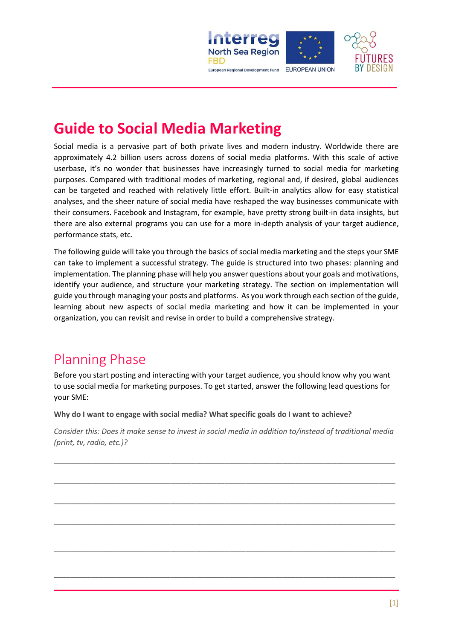

# **Guide to Social Media Marketing**

Social media is a pervasive part of both private lives and modern industry. Worldwide there are approximately 4.2 billion users across dozens of social media platforms. With this scale of active userbase, it's no wonder that businesses have increasingly turned to social media for marketing purposes. Compared with traditional modes of marketing, regional and, if desired, global audiences can be targeted and reached with relatively little effort. Built-in analytics allow for easy statistical analyses, and the sheer nature of social media have reshaped the way businesses communicate with their consumers. Facebook and Instagram, for example, have pretty strong built-in data insights, but there are also external programs you can use for a more in-depth analysis of your target audience, performance stats, etc.

The following guide will take you through the basics of social media marketing and the steps your SME can take to implement a successful strategy. The guide is structured into two phases: planning and implementation. The planning phase will help you answer questions about your goals and motivations, identify your audience, and structure your marketing strategy. The section on implementation will guide you through managing your posts and platforms. As you work through each section of the guide, learning about new aspects of social media marketing and how it can be implemented in your organization, you can revisit and revise in order to build a comprehensive strategy.

# Planning Phase

Before you start posting and interacting with your target audience, you should know why you want to use social media for marketing purposes. To get started, answer the following lead questions for your SME:

**Why do I want to engage with social media? What specific goals do I want to achieve?** 

*Consider this: Does it make sense to invest in social media in addition to/instead of traditional media (print, tv, radio, etc.)?*

\_\_\_\_\_\_\_\_\_\_\_\_\_\_\_\_\_\_\_\_\_\_\_\_\_\_\_\_\_\_\_\_\_\_\_\_\_\_\_\_\_\_\_\_\_\_\_\_\_\_\_\_\_\_\_\_\_\_\_\_\_\_\_\_\_\_\_\_\_\_\_\_\_\_\_\_\_\_\_\_\_\_

\_\_\_\_\_\_\_\_\_\_\_\_\_\_\_\_\_\_\_\_\_\_\_\_\_\_\_\_\_\_\_\_\_\_\_\_\_\_\_\_\_\_\_\_\_\_\_\_\_\_\_\_\_\_\_\_\_\_\_\_\_\_\_\_\_\_\_\_\_\_\_\_\_\_\_\_\_\_\_\_\_\_

\_\_\_\_\_\_\_\_\_\_\_\_\_\_\_\_\_\_\_\_\_\_\_\_\_\_\_\_\_\_\_\_\_\_\_\_\_\_\_\_\_\_\_\_\_\_\_\_\_\_\_\_\_\_\_\_\_\_\_\_\_\_\_\_\_\_\_\_\_\_\_\_\_\_\_\_\_\_\_\_\_\_

\_\_\_\_\_\_\_\_\_\_\_\_\_\_\_\_\_\_\_\_\_\_\_\_\_\_\_\_\_\_\_\_\_\_\_\_\_\_\_\_\_\_\_\_\_\_\_\_\_\_\_\_\_\_\_\_\_\_\_\_\_\_\_\_\_\_\_\_\_\_\_\_\_\_\_\_\_\_\_\_\_\_

\_\_\_\_\_\_\_\_\_\_\_\_\_\_\_\_\_\_\_\_\_\_\_\_\_\_\_\_\_\_\_\_\_\_\_\_\_\_\_\_\_\_\_\_\_\_\_\_\_\_\_\_\_\_\_\_\_\_\_\_\_\_\_\_\_\_\_\_\_\_\_\_\_\_\_\_\_\_\_\_\_\_

\_\_\_\_\_\_\_\_\_\_\_\_\_\_\_\_\_\_\_\_\_\_\_\_\_\_\_\_\_\_\_\_\_\_\_\_\_\_\_\_\_\_\_\_\_\_\_\_\_\_\_\_\_\_\_\_\_\_\_\_\_\_\_\_\_\_\_\_\_\_\_\_\_\_\_\_\_\_\_\_\_\_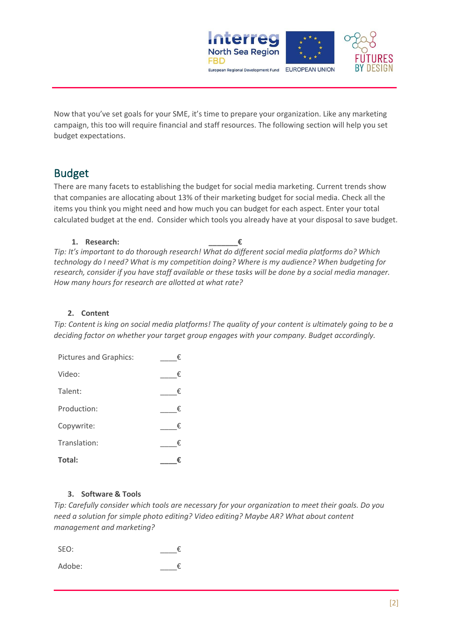

Now that you've set goals for your SME, it's time to prepare your organization. Like any marketing campaign, this too will require financial and staff resources. The following section will help you set budget expectations.

# Budget

There are many facets to establishing the budget for social media marketing. Current trends show that companies are allocating about 13% of their marketing budget for social media. Check all the items you think you might need and how much you can budget for each aspect. Enter your total calculated budget at the end. Consider which tools you already have at your disposal to save budget.

#### **1. Research: \_\_\_\_\_\_\_€**

*Tip: It's important to do thorough research! What do different social media platforms do? Which technology do I need? What is my competition doing? Where is my audience? When budgeting for research, consider if you have staff available or these tasks will be done by a social media manager. How many hours for research are allotted at what rate?*

#### **2. Content**

*Tip: Content is king on social media platforms! The quality of your content is ultimately going to be a deciding factor on whether your target group engages with your company. Budget accordingly.* 

| <b>Pictures and Graphics:</b> | € |
|-------------------------------|---|
| Video:                        | € |
| Talent:                       | € |
| Production:                   | € |
| Copywrite:                    | € |
| Translation:                  | € |
| Total:                        | ŧ |

#### **3. Software & Tools**

*Tip: Carefully consider which tools are necessary for your organization to meet their goals. Do you need a solution for simple photo editing? Video editing? Maybe AR? What about content management and marketing?*

SEO:  $\epsilon$ 

Adobe:  $\epsilon$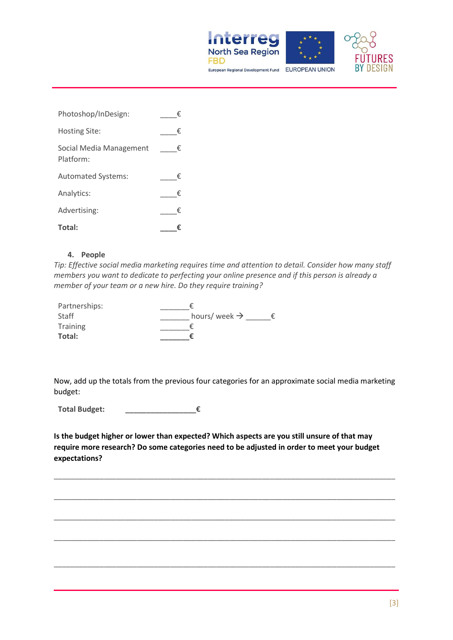



| Photoshop/InDesign:                  | € |
|--------------------------------------|---|
| Hosting Site:                        | € |
| Social Media Management<br>Platform: | € |
| <b>Automated Systems:</b>            | € |
| Analytics:                           | € |
| Advertising:                         | € |
| Total:                               |   |

#### **4. People**

*Tip: Effective social media marketing requires time and attention to detail. Consider how many staff members you want to dedicate to perfecting your online presence and if this person is already a member of your team or a new hire. Do they require training?*

| Partnerships: |                          |
|---------------|--------------------------|
| Staff         | hours/week $\rightarrow$ |
| Training      |                          |
| Total:        |                          |

Now, add up the totals from the previous four categories for an approximate social media marketing budget:

**Total Budget: \_\_\_\_\_\_\_\_\_\_\_\_\_\_\_\_\_€**

**Is the budget higher or lower than expected? Which aspects are you still unsure of that may require more research? Do some categories need to be adjusted in order to meet your budget expectations?** 

\_\_\_\_\_\_\_\_\_\_\_\_\_\_\_\_\_\_\_\_\_\_\_\_\_\_\_\_\_\_\_\_\_\_\_\_\_\_\_\_\_\_\_\_\_\_\_\_\_\_\_\_\_\_\_\_\_\_\_\_\_\_\_\_\_\_\_\_\_\_\_\_\_\_\_\_\_\_\_\_\_\_

\_\_\_\_\_\_\_\_\_\_\_\_\_\_\_\_\_\_\_\_\_\_\_\_\_\_\_\_\_\_\_\_\_\_\_\_\_\_\_\_\_\_\_\_\_\_\_\_\_\_\_\_\_\_\_\_\_\_\_\_\_\_\_\_\_\_\_\_\_\_\_\_\_\_\_\_\_\_\_\_\_\_

\_\_\_\_\_\_\_\_\_\_\_\_\_\_\_\_\_\_\_\_\_\_\_\_\_\_\_\_\_\_\_\_\_\_\_\_\_\_\_\_\_\_\_\_\_\_\_\_\_\_\_\_\_\_\_\_\_\_\_\_\_\_\_\_\_\_\_\_\_\_\_\_\_\_\_\_\_\_\_\_\_\_

\_\_\_\_\_\_\_\_\_\_\_\_\_\_\_\_\_\_\_\_\_\_\_\_\_\_\_\_\_\_\_\_\_\_\_\_\_\_\_\_\_\_\_\_\_\_\_\_\_\_\_\_\_\_\_\_\_\_\_\_\_\_\_\_\_\_\_\_\_\_\_\_\_\_\_\_\_\_\_\_\_\_

\_\_\_\_\_\_\_\_\_\_\_\_\_\_\_\_\_\_\_\_\_\_\_\_\_\_\_\_\_\_\_\_\_\_\_\_\_\_\_\_\_\_\_\_\_\_\_\_\_\_\_\_\_\_\_\_\_\_\_\_\_\_\_\_\_\_\_\_\_\_\_\_\_\_\_\_\_\_\_\_\_\_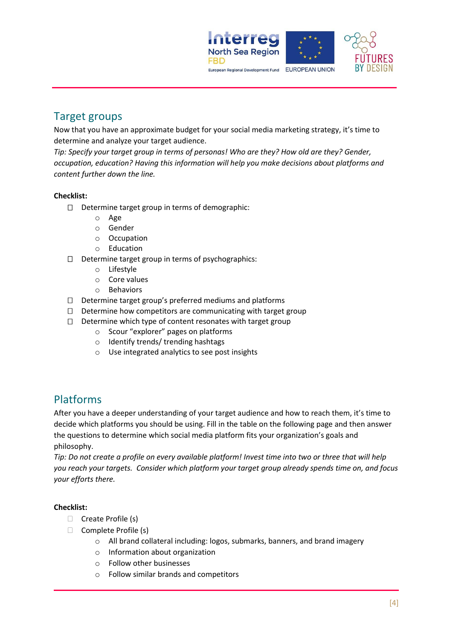

## Target groups

Now that you have an approximate budget for your social media marketing strategy, it's time to determine and analyze your target audience.

*Tip: Specify your target group in terms of personas! Who are they? How old are they? Gender, occupation, education? Having this information will help you make decisions about platforms and content further down the line.* 

#### **Checklist:**

- $\Box$  Determine target group in terms of demographic:
	- o Age
	- o Gender
	- o Occupation
	- o Education
- $\Box$  Determine target group in terms of psychographics:
	- o Lifestyle
	- o Core values
	- o Behaviors
- $\square$  Determine target group's preferred mediums and platforms
- $\Box$  Determine how competitors are communicating with target group
- $\Box$  Determine which type of content resonates with target group
	- o Scour "explorer" pages on platforms
	- o Identify trends/ trending hashtags
	- o Use integrated analytics to see post insights

## Platforms

After you have a deeper understanding of your target audience and how to reach them, it's time to decide which platforms you should be using. Fill in the table on the following page and then answer the questions to determine which social media platform fits your organization's goals and philosophy.

*Tip: Do not create a profile on every available platform! Invest time into two or three that will help you reach your targets. Consider which platform your target group already spends time on, and focus your efforts there.*

#### **Checklist:**

- □ Create Profile (s)
- $\Box$  Complete Profile (s)
	- o All brand collateral including: logos, submarks, banners, and brand imagery
	- o Information about organization
	- o Follow other businesses
	- o Follow similar brands and competitors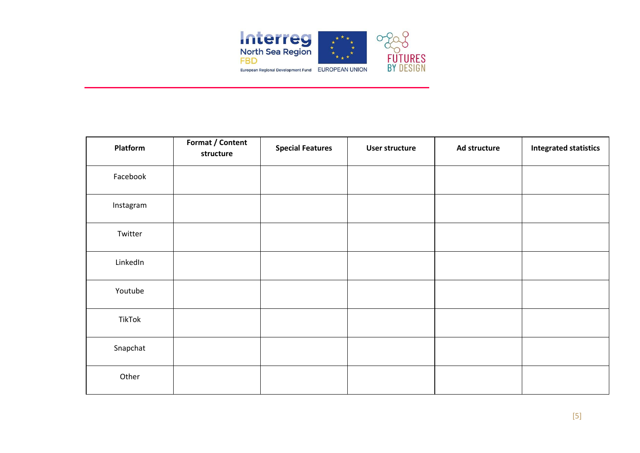

| Platform  | Format / Content<br>structure | <b>Special Features</b> | User structure | Ad structure | <b>Integrated statistics</b> |
|-----------|-------------------------------|-------------------------|----------------|--------------|------------------------------|
| Facebook  |                               |                         |                |              |                              |
| Instagram |                               |                         |                |              |                              |
| Twitter   |                               |                         |                |              |                              |
| LinkedIn  |                               |                         |                |              |                              |
| Youtube   |                               |                         |                |              |                              |
| TikTok    |                               |                         |                |              |                              |
| Snapchat  |                               |                         |                |              |                              |
| Other     |                               |                         |                |              |                              |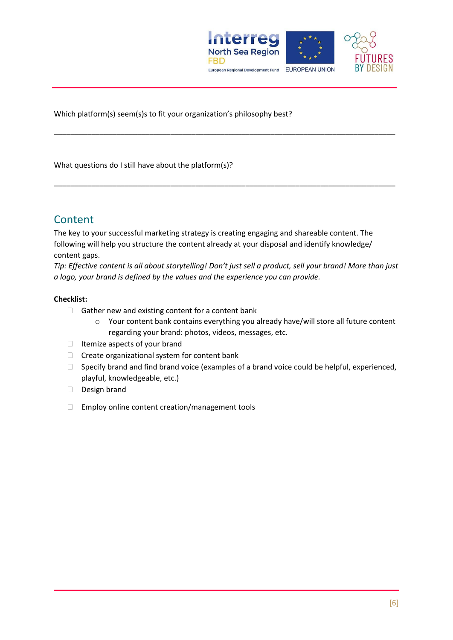

Which platform(s) seem(s)s to fit your organization's philosophy best?

What questions do I still have about the platform(s)?

## **Content**

The key to your successful marketing strategy is creating engaging and shareable content. The following will help you structure the content already at your disposal and identify knowledge/ content gaps.

*Tip: Effective content is all about storytelling! Don't just sell a product, sell your brand! More than just a logo, your brand is defined by the values and the experience you can provide.*

\_\_\_\_\_\_\_\_\_\_\_\_\_\_\_\_\_\_\_\_\_\_\_\_\_\_\_\_\_\_\_\_\_\_\_\_\_\_\_\_\_\_\_\_\_\_\_\_\_\_\_\_\_\_\_\_\_\_\_\_\_\_\_\_\_\_\_\_\_\_\_\_\_\_\_\_\_\_\_\_\_\_

\_\_\_\_\_\_\_\_\_\_\_\_\_\_\_\_\_\_\_\_\_\_\_\_\_\_\_\_\_\_\_\_\_\_\_\_\_\_\_\_\_\_\_\_\_\_\_\_\_\_\_\_\_\_\_\_\_\_\_\_\_\_\_\_\_\_\_\_\_\_\_\_\_\_\_\_\_\_\_\_\_\_

#### **Checklist:**

- $\Box$  Gather new and existing content for a content bank
	- o Your content bank contains everything you already have/will store all future content regarding your brand: photos, videos, messages, etc.
- $\Box$  Itemize aspects of your brand
- $\Box$  Create organizational system for content bank
- $\Box$  Specify brand and find brand voice (examples of a brand voice could be helpful, experienced, playful, knowledgeable, etc.)
- Design brand
- □ Employ online content creation/management tools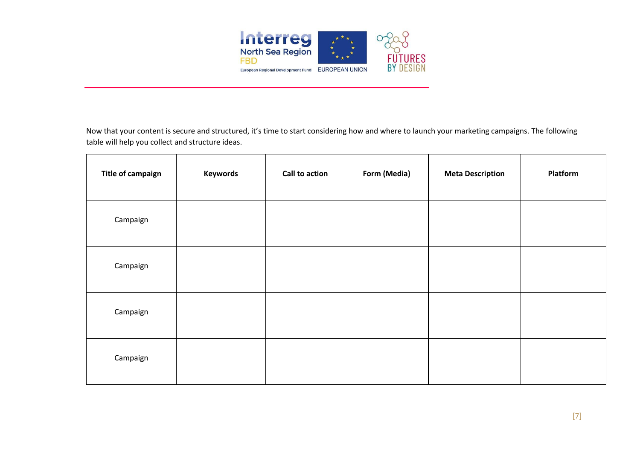

Now that your content is secure and structured, it's time to start considering how and where to launch your marketing campaigns. The following table will help you collect and structure ideas.

| <b>Title of campaign</b> | <b>Keywords</b> | Call to action | Form (Media) | <b>Meta Description</b> | Platform |
|--------------------------|-----------------|----------------|--------------|-------------------------|----------|
| Campaign                 |                 |                |              |                         |          |
| Campaign                 |                 |                |              |                         |          |
| Campaign                 |                 |                |              |                         |          |
| Campaign                 |                 |                |              |                         |          |